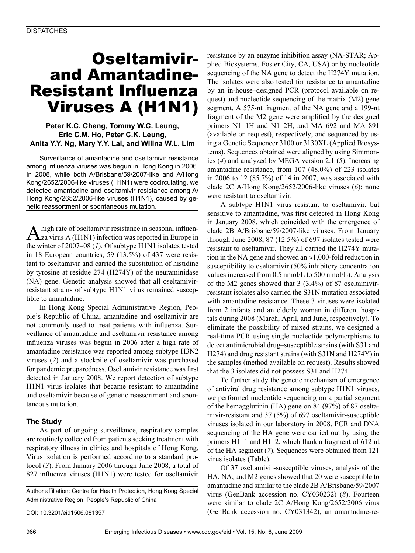# Oseltamivirand Amantadine-Resistant Influenza Viruses A (H1N1)

### **Peter K.C. Cheng, Tommy W.C. Leung, Eric C.M. Ho, Peter C.K. Leung, Anita Y.Y. Ng, Mary Y.Y. Lai, and Wilina W.L. Lim**

Surveillance of amantadine and oseltamivir resistance among influenza viruses was begun in Hong Kong in 2006. In 2008, while both A/Brisbane/59/2007-like and A/Hong Kong/2652/2006-like viruses (H1N1) were cocirculating, we detected amantadine and oseltamivir resistance among A/ Hong Kong/2652/2006-like viruses (H1N1), caused by genetic reassortment or spontaneous mutation.

A high rate of oseltamivir resistance in seasonal influen-<br>za virus A (H1N1) infection was reported in Europe in the winter of 2007–08 (*1*). Of subtype H1N1 isolates tested in 18 European countries, 59 (13.5%) of 437 were resistant to oseltamivir and carried the substitution of histidine by tyrosine at residue 274 (H274Y) of the neuraminidase (NA) gene. Genetic analysis showed that all oseltamivirresistant strains of subtype H1N1 virus remained susceptible to amantadine.

In Hong Kong Special Administrative Region, People's Republic of China, amantadine and oseltamivir are not commonly used to treat patients with influenza. Surveillance of amantadine and oseltamivir resistance among influenza viruses was begun in 2006 after a high rate of amantadine resistance was reported among subtype H3N2 viruses (*2*) and a stockpile of oseltamivir was purchased for pandemic preparedness. Oseltamivir resistance was first detected in January 2008. We report detection of subtype H1N1 virus isolates that became resistant to amantadine and oseltamivir because of genetic reassortment and spontaneous mutation.

## **The Study**

As part of ongoing surveillance, respiratory samples are routinely collected from patients seeking treatment with respiratory illness in clinics and hospitals of Hong Kong. Virus isolation is performed according to a standard protocol (*3*). From January 2006 through June 2008, a total of 827 influenza viruses (H1N1) were tested for oseltamivir

Author affiliation: Centre for Health Protection, Hong Kong Special Administrative Region, People's Republic of China

DOI: 10.3201/eid1506.081357

resistance by an enzyme inhibition assay (NA-STAR; Applied Biosystems, Foster City, CA, USA) or by nucleotide sequencing of the NA gene to detect the H274Y mutation. The isolates were also tested for resistance to amantadine by an in-house–designed PCR (protocol available on request) and nucleotide sequencing of the matrix (M2) gene segment. A 575-nt fragment of the NA gene and a 199-nt fragment of the M2 gene were amplified by the designed primers N1–1H and N1–2H, and MA 692 and MA 891 (available on request), respectively, and sequenced by using a Genetic Sequencer 3100 or 3130XL (Applied Biosystems). Sequences obtained were aligned by using Simmonics (*4*) and analyzed by MEGA version 2.1 (*5*). Increasing amantadine resistance, from 107 (48.0%) of 223 isolates in 2006 to 12 (85.7%) of 14 in 2007, was associated with clade 2C A/Hong Kong/2652/2006-like viruses (*6*); none were resistant to oseltamivir.

A subtype H1N1 virus resistant to oseltamivir, but sensitive to amantadine, was first detected in Hong Kong in January 2008, which coincided with the emergence of clade 2B A/Brisbane/59/2007-like viruses. From January through June 2008, 87 (12.5%) of 697 isolates tested were resistant to oseltamivir. They all carried the H274Y mutation in the NA gene and showed an ≈1,000-fold reduction in susceptibility to oseltamivir (50% inhibitory concentration values increased from 0.5 nmol/L to 500 nmol/L). Analysis of the M2 genes showed that 3 (3.4%) of 87 oseltamivirresistant isolates also carried the S31N mutation associated with amantadine resistance. These 3 viruses were isolated from 2 infants and an elderly woman in different hospitals during 2008 (March, April, and June, respectively). To eliminate the possibility of mixed strains, we designed a real-time PCR using single nucleotide polymorphisms to detect antimicrobial drug–susceptible strains (with S31 and H274) and drug resistant strains (with S31N and H274Y) in the samples (method available on request). Results showed that the 3 isolates did not possess S31 and H274.

To further study the genetic mechanism of emergence of antiviral drug resistance among subtype H1N1 viruses, we performed nucleotide sequencing on a partial segment of the hemagglutinin (HA) gene on 84 (97%) of 87 oseltamivir-resistant and 37 (5%) of 697 oseltamivir-susceptible viruses isolated in our laboratory in 2008. PCR and DNA sequencing of the HA gene were carried out by using the primers H1–1 and H1–2, which flank a fragment of 612 nt of the HA segment (*7*). Sequences were obtained from 121 virus isolates (Table).

Of 37 oseltamivir-susceptible viruses, analysis of the HA, NA, and M2 genes showed that 20 were susceptible to amantadine and similar to the clade 2B A/Brisbane/59/2007 virus (GenBank accession no. CY030232) (*8*). Fourteen were similar to clade 2C A/Hong Kong/2652/2006 virus (GenBank accession no. CY031342), an amantadine-re-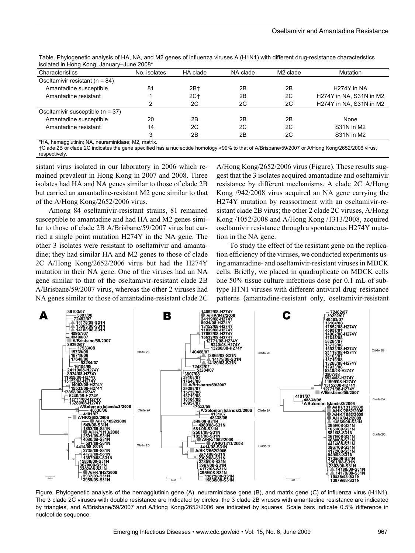| isolated in Florig Twig, January-Julie 2000 |              |          |          |                      |                          |
|---------------------------------------------|--------------|----------|----------|----------------------|--------------------------|
| Characteristics                             | No. isolates | HA clade | NA clade | M <sub>2</sub> clade | <b>Mutation</b>          |
| Oseltamivir resistant ( $n = 84$ )          |              |          |          |                      |                          |
| Amantadine susceptible                      | 81           | 2B†      | 2B       | 2B                   | H <sub>274</sub> Y in NA |
| Amantadine resistant                        |              | $2C+$    | 2B       | 2C                   | H274Y in NA, S31N in M2  |
|                                             | າ            | 2C       | 2C       | 2C                   | H274Y in NA, S31N in M2  |
| Oseltamivir susceptible $(n = 37)$          |              |          |          |                      |                          |
| Amantadine susceptible                      | 20           | 2B       | 2B       | 2B                   | None                     |
| Amantadine resistant                        | 14           | 2C       | 2C       | 2C                   | S31N in M2               |
|                                             | 3            | 2B       | 2B       | 2C                   | S31N in M2               |

Table. Phylogenetic analysis of HA, NA, and M2 genes of influenza viruses A (H1N1) with different drug-resistance characteristics isolated in Hong Kong, January–June 2008\*

\*HA, hemagglutinin; NA, neuraminidase; M2, matrix.

†Clade 2B or clade 2C indicates the gene specified has a nucleotide homology >99% to that of A/Brisbane/59/2007 or A/Hong Kong/2652/2006 virus, respectively.

sistant virus isolated in our laboratory in 2006 which remained prevalent in Hong Kong in 2007 and 2008. Three isolates had HA and NA genes similar to those of clade 2B but carried an amantadine-resistant M2 gene similar to that of the A/Hong Kong/2652/2006 virus.

Among 84 oseltamivir-resistant strains, 81 remained susceptible to amantadine and had HA and M2 genes similar to those of clade 2B A/Brisbane/59/2007 virus but carried a single point mutation H274Y in the NA gene. The other 3 isolates were resistant to oseltamivir and amantadine; they had similar HA and M2 genes to those of clade 2C A/Hong Kong/2652/2006 virus but had the H274Y mutation in their NA gene. One of the viruses had an NA gene similar to that of the oseltamivir-resistant clade 2B A/Brisbane/59/2007 virus, whereas the other 2 viruses had NA genes similar to those of amantadine-resistant clade 2C

A/Hong Kong/2652/2006 virus (Figure). These results suggest that the 3 isolates acquired amantadine and oseltamivir resistance by different mechanisms. A clade 2C A/Hong Kong /942/2008 virus acquired an NA gene carrying the H274Y mutation by reassortment with an oseltamivir-resistant clade 2B virus; the other 2 clade 2C viruses, A/Hong Kong /1052/2008 and A/Hong Kong /1313/2008, acquired oseltamivir resistance through a spontaneous H274Y mutation in the NA gene.

To study the effect of the resistant gene on the replication efficiency of the viruses, we conducted experiments using amantadine- and oseltamivir-resistant viruses in MDCK cells. Briefly, we placed in quadruplicate on MDCK cells one 50% tissue culture infectious dose per 0.1 mL of subtype H1N1 viruses with different antiviral drug–resistance patterns (amantadine-resistant only, oseltamivir-resistant



Figure. Phylogenetic analysis of the hemagglutinin gene (A), neuraminidase gene (B), and matrix gene (C) of influenza virus (H1N1). The 3 clade 2C viruses with double resistance are indicated by circles, the 3 clade 2B viruses with amantadine resistance are indicated by triangles, and A/Brisbane/59/2007 and A/Hong Kong/2652/2006 are indicated by squares. Scale bars indicate 0.5% difference in nucleotide sequence.